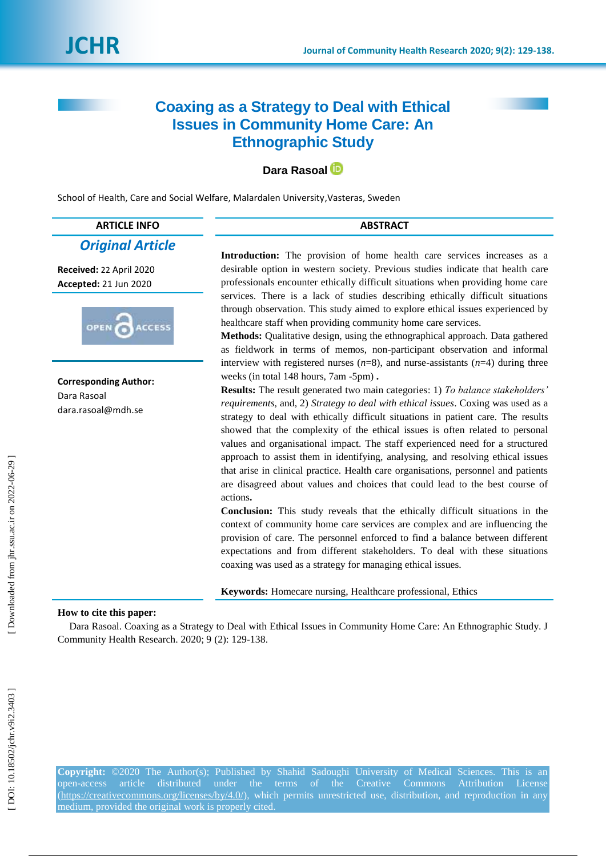# **Coaxing as a Strategy to Deal with Ethical Issues in Community Home Care: An Ethnographic Study**

## **Dara Rasoal**

School of Health, Care and Social Welfare, Malardalen University,Vasteras, Sweden

## **ARTICLE INFO ABSTRACT**

## *Original Article*

**Received:** 22 April 2020 **Accepted:** 21 Jun 2020



**Corresponding Author:** Dara Rasoal dara.rasoal@mdh.se

Introduction: The provision of home health care services increases as a desirable option in western society. Previous studies indicate that health care professionals encounter ethically difficult situations when providing home care services. There is a lack of studies describing ethically difficult situations through observation. This study aimed to explore ethical issues experienced by healthcare staff when providing community home care services.

**Methods:** Qualitative design, using the ethnographical approach. Data gathered as fieldwork in terms of memos, non -participant observation and informal interview with registered nurses  $(n=8)$ , and nurse-assistants  $(n=4)$  during three weeks (in total 148 hours, 7am -5pm).

**Results:** The result generated two main categories: 1) *To balance stakeholders"*  requirements, and, 2) *Strategy to deal with ethical issues*. Coxing was used as a strategy to deal with ethically difficult situations in patient care. The results showed that the complexity of the ethical issues is often related to personal values and organisational impact. The staff experienced need for a structured approach to assist them in identifying, analysing, and resolving ethical issues that arise in clinical practice. Health care organisations, personnel and patients are disagreed about values and choices that could lead to the best course of actions **.**

**Conclusion:** This study reveals that the ethically difficult situations in the context of community home care services are complex and are influencing the provision of care. The personnel enforced to find a balance between different expectations and from different stakeholders. To deal with these situations coaxing was used as a strategy for managing ethical issues.

**Keywords:** Homecare nursing, Healthcare professional, Ethics

### **How to cite this paper:**

Dara Rasoal. Coaxing as a Strategy to Deal with Ethical Issues in Community Home Care: An Ethnographic Study. J Community Health Research. 2020; 9 (2): 129 -138 .

**Copyright:** ©2020 The Author(s); Published by Shahid Sadoughi University of Medical Sciences. This is an open-access article distributed under the terms of the Creative Commons Attribution License [\(https://creativecommons.org/licenses/by/4.0/\)](https://creativecommons.org/licenses/by/4.0/), which permits unrestricted use, distribution, and reproduction in any medium, provided the original work is properly cited.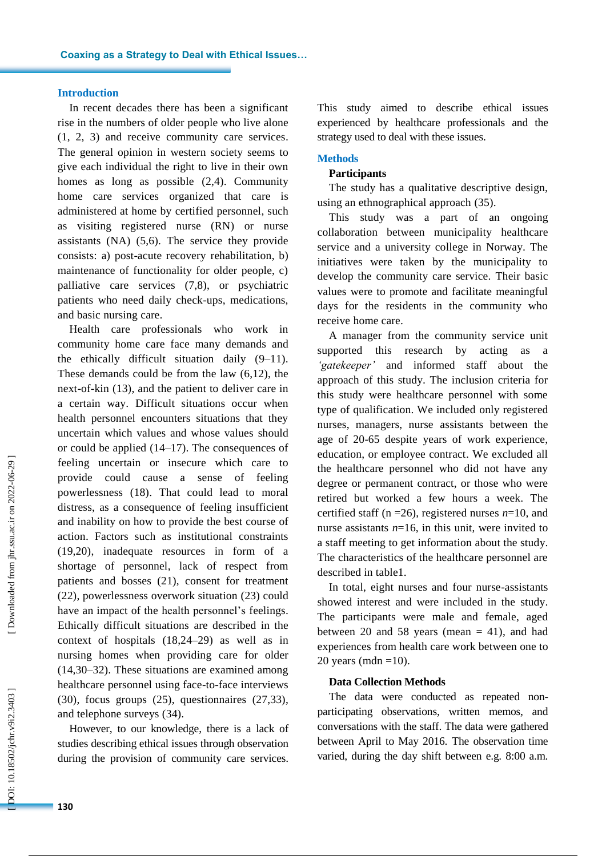#### **Introduction**

In recent decades there has been a significant rise in the numbers of older people who live alone (1, 2, 3) and receive community care services. The general opinion in western society seems to give each individual the right to live in their own homes as long as possible (2,4) . Community home care services organized that care is administered at home by certified personnel, such as visiting registered nurse (RN) or nurse assistants (NA) (5,6). The service they provide consists: a) post -acute recovery rehabilitation, b) maintenance of functionality for older people, c) palliative care service s (7,8) , or psychiatric patients who need daily check -ups, medications, and basic nursing care.

Health care professionals who work in community home care face many demands and the ethically difficult situation daily (9 –11). These demands could be from the law (6,12), the next -of -kin (13) , and the patient to deliver care in a certain way. Difficult situations occur when health personnel encounters situations that they uncertain which values and whose values should or could be applied (14 –17). The consequences of feeling uncertain or insecure which care to provide could cause a sense of feeling powerlessness (18) . That could lead to moral distress, as a consequence of feeling insufficient and inability on how to provide the best course of action. Factors such as institutional constraints (19,20), inadequate resources in form of a shortage of personnel, lack of respect from patients and bosses (21), consent for treatment (22), powerlessness overwork situation (23) could have an impact of the health personnel's feelings. Ethically difficult situations are described in the context of hospitals (18,24 –29) as well as in nursing homes when providing care for older (14,30 –32) . These situations are examined among healthcare personnel using face -to -face interviews (30), focus groups (25), questionnaires (27,33) , and telephone surveys (34) .

However, to our knowledge, there is a lack of studies describing ethical issues through observation during the provision of community care services .

This study aimed to describe ethical issues experienced by healthcare professionals and the strategy used to deal with these issues.

#### **Method s**

#### **Participants**

The study has a qualitative descriptive design, using an ethnographical approach (35).

This study was a part of an ongoing collaboration between municipality healthcare service and a university college in Norway. The initiatives were taken by the municipality to develop the community care service. Their basic values were to promote and facilitate meaningful days for the residents in the community who receive home care.

A manager from the community service unit supported this research by acting as a *"gatekeeper"* and informed staff about the approach of this study. The inclusion criteria for this study were healthcare personnel with some type of qualification. We included only registered nurses, managers, nurse assistants between the age of 20 -65 despite years of work experience, education, or employee contract. We excluded all the healthcare personnel who did not have any degree or permanent contract, or those who were retired but worked a few hours a week. The certified staff ( $n = 26$ ), registered nurses  $n=10$ , and nurse assistants  $n=16$ , in this unit, were invited to a staff meeting to get information about the study. The characteristics of the healthcare personnel are described in table1.

In total, eight nurses and four nurse -assistants showed interest and were included in the study. The participants were male and female, aged between 20 and 58 years (mean  $= 41$ ), and had experiences from health care work between one to 20 years (mdn =10).

#### **Data Collection Methods**

The data were conducted as repeated nonparticipating observations, written memos, and conversations with the staff. The data were gathered between April to May 2016. The observation time varied, during the day shift between e.g. 8:00 a.m.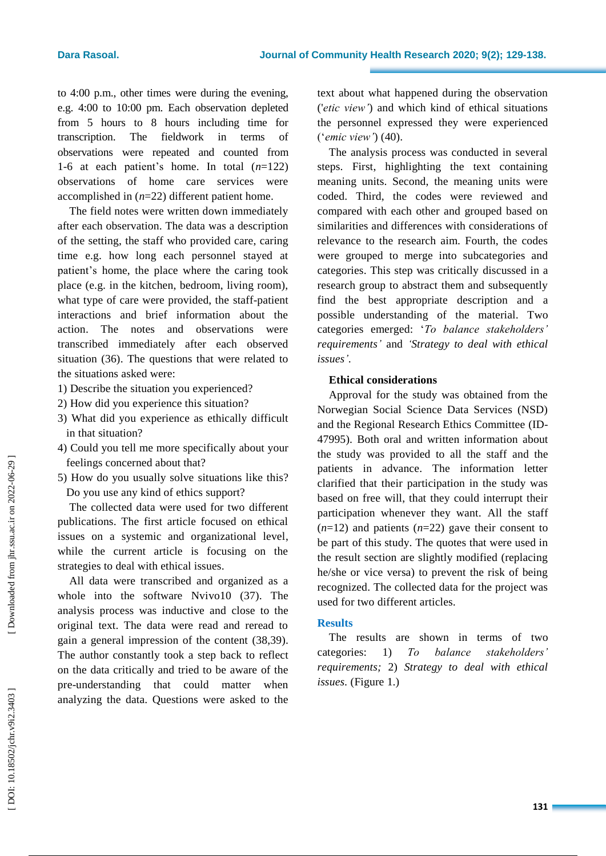to 4:00 p.m., other times were during the evening, e.g. 4:00 to 10:00 pm. Each observation depleted from 5 hours to 8 hours including time for transcription. The fieldwork in terms of observations were repeated and counted from 1-6 at each patient's home. In total (*n*=122) observations of home care services were accomplished in ( *n*=22) different patient home.

The field notes were written down immediately after each observation. The data was a description of the setting, the staff who provided care, caring time e.g. how long each personnel stayed at patient's home, the place where the caring took place (e.g. in the kitchen, bedroom, living room), what type of care were provided, the staff -patient interactions and brief information about the action. The notes and observations were transcribed immediately after each observed situation (36). The questions that were related to the situations asked were:

- 1) Describe the situation you experienced?
- 2) How did you experience this situation?
- 3) What did you experience as ethically difficult in that situation?
- 4) Could you tell me more specifically about your feelings concerned about that?
- 5) How do you usually solve situations like this ? Do you use any kind of ethics support?

The collected data were used for two different publications. The first article focused on ethical issues on a systemic and organizational level , while the current article is focusing on the strategies to deal with ethical issues.

All data were transcribed and organized as a whole into the software Nvivo10 (37). The analysis process was inductive and close to the original text. The data were read and reread to gain a general impression of the content (38,39). The author constantly took a step back to reflect on the data critically and tried to be aware of the pre -understanding that could matter when analyzing the data. Questions were asked to the

text about what happened during the observation ('*etic view"*) and which kind of ethical situations the personnel expressed they were experienced ('*emic view"*) (40) .

The analysis process was conducted in several steps. First, highlighting the text containing meaning units. Second, the meaning units were coded. Third, the codes were reviewed and compared with each other and grouped based on similarities and differences with considerations of relevance to the research aim. Fourth, the codes were grouped to merge into subcategories and categories. This step was critically discussed in a research group to abstract them and subsequently find the best appropriate description and a possible understanding of the material. Two categories emerged: '*To balance stakeholders" requirements "* and *" Strategy to deal with ethical*  issues'.

## **Ethical considerations**

Approval for the study was obtained from the Norwegian Social Science Data Services (NSD) and the Regional Research Ethics Committee (ID - 47995). Both oral and written information about the study was provided to all the staff and the patients in advance. The information letter clarified that their participation in the study was based on free will, that they could interrupt their participation whenever they want. All the staff  $(n=12)$  and patients  $(n=22)$  gave their consent to be part of this study. The quotes that were used in the result section are slightly modified (replacing he/she or vice versa) to prevent the risk of being recognized. The collected data for the project was used for two different articles.

### **Result s**

The results are shown in terms of two categories: 1) *To balance stakeholders" requirements;* 2) *Strategy to deal with ethical issues.* (Figure 1.)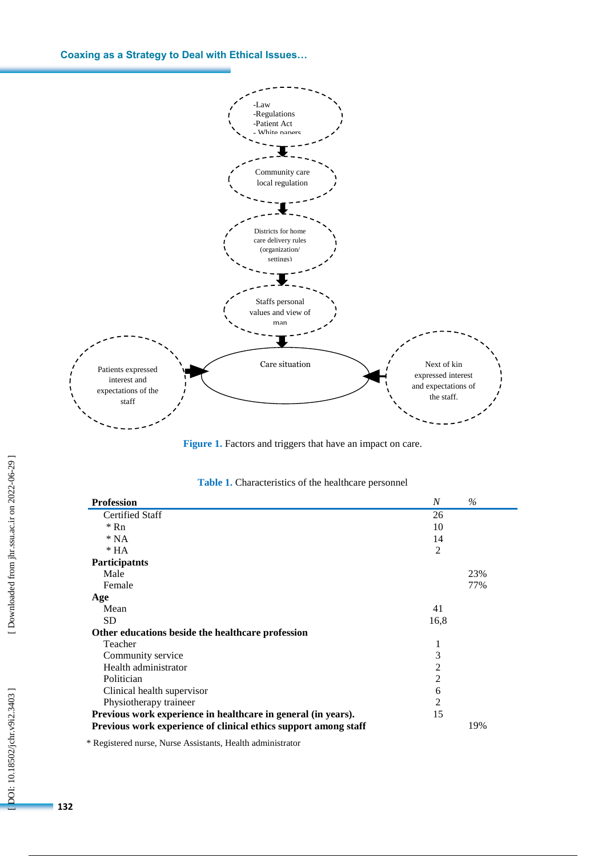**Coaxing as a Strategy to Deal with Ethical Issues…**





| <b>Profession</b>                                               | $\boldsymbol{N}$ | $\%$ |
|-----------------------------------------------------------------|------------------|------|
| <b>Certified Staff</b>                                          | 26               |      |
| $*$ Rn                                                          | 10               |      |
| $*NA$                                                           | 14               |      |
| $*HA$                                                           | $\overline{2}$   |      |
| Participatnts                                                   |                  |      |
| Male                                                            |                  | 23%  |
| Female                                                          |                  | 77%  |
| Age                                                             |                  |      |
| Mean                                                            | 41               |      |
| <b>SD</b>                                                       | 16,8             |      |
| Other educations beside the healthcare profession               |                  |      |
| Teacher                                                         | 1                |      |
| Community service                                               | 3                |      |
| Health administrator                                            | $\overline{2}$   |      |
| Politician                                                      | $\overline{2}$   |      |
| Clinical health supervisor                                      | 6                |      |
| Physiotherapy traineer                                          | $\overline{2}$   |      |
| Previous work experience in healthcare in general (in years).   | 15               |      |
| Previous work experience of clinical ethics support among staff |                  | 19%  |

| <b>Table 1.</b> Characteristics of the healthcare personnel |  |  |
|-------------------------------------------------------------|--|--|
|-------------------------------------------------------------|--|--|

\* Registered nurse, Nurse Assistants, Health administrator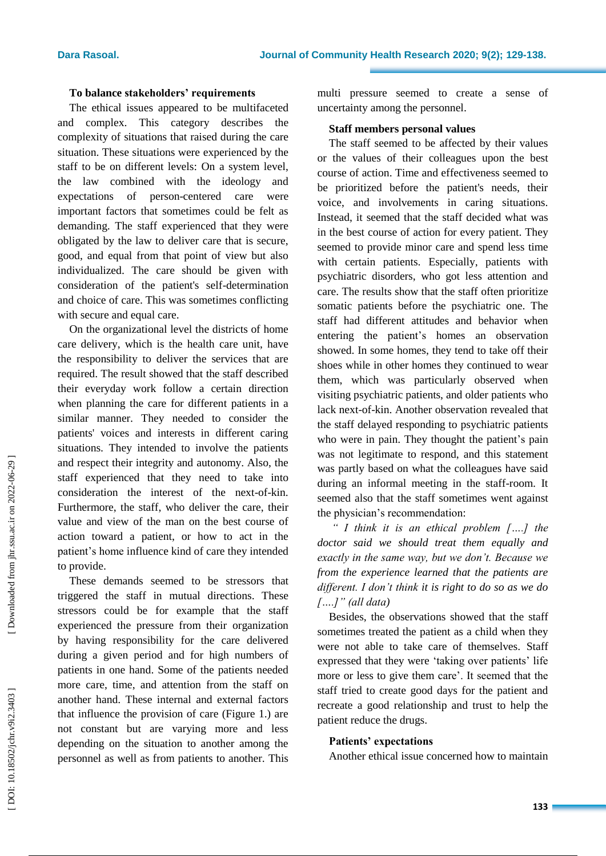#### **To balance stakeholders' requirements**

The ethical issues appeared to be multifaceted and complex. This category describes the complexity of situation s that raised during the care situation . These situations were experienced by the staff to be on different levels : On a system level, the law combined with the ideology and expectations of person -centered care were important factors that sometimes could be felt as demanding . The staff experienced that they were obligated by the law to deliver care that is secure, good , and equal from that point of view but also individualized. The care should be given with consideration of the patient's self -determination and choice of care. This was sometimes conflicting with secure and equal care.

On the organizational level the districts of home care delivery, which is the health care unit, have the responsibility to deliver the services that are required. The result showed that the staff described their everyday work follow a certain direction when planning the care for different patients in a similar manner. They needed to consider the patients' voices and interests in different caring situation s. They intended to involve the patients and respect their integrity and autonomy. Also, the staff experienced that they need to take into consideration the interest of the next -of-kin. Furthermore, the staff, who deliver the care, their value and view of the man on the best course of action toward a patient, or how to act in the patient's home influence kind of care they intended to provide .

These demands seemed to be stressors that triggered the staff in mutual directions. These stressors could be for example that the staff experienced the pressure from their organization by having responsibility for the care delivered during a given period and for high numbers of patients in one hand . Some of the patients needed more care, time , and attention from the staff on another hand. These internal and external factors that influence the provision of care (Figure 1.) are not constant but are varying more and less depending on the situation to another among the personnel as well as from patients to another. This

multi pressure seemed to create a sense of uncertainty among the personnel .

#### **Staff members personal values**

The staff seemed to be affected by their values or the values of their colleagues upon the best course of action. Time and effectiveness seemed to be prioritized before the patient's needs, their voice, and involvements in caring situations. Instead, it seemed that the staff decided what was in the best course of action for every patient. They seemed to provide minor care and spend less time with certain patients. Especially, patients with psychiatric disorders, who got less attention and care. The results show that the staff often prioritize somatic patient s before the psychiatric one. The staff had different attitudes and behavior when entering the patient's homes an observation showed. In some homes, they tend to take off their shoes while in other home s they continued to wear them, which was particularly observed when visiting psychiatric patients, and older patients who lack next -of-kin. Another observation revealed that the staff delayed responding to psychiatric patients who were in pain. They thought the patient's pain was not legitimate to respond, and this statement was partly based on what the colleagues have said during an informal meeting in the staff-room. It seemed also that the staff sometimes went against the physician's recommendation :

*" I think it is an ethical problem [….] the doctor said we should treat them equally and exactly in the same way, but we don"t. Because we from the experience learned that the patients are different. I don"t think it is right to do so as we do [….]" (all data )*

Besides, the observations showed that the staff sometimes treated the patient as a child when they were not able to take care of themselves. Staff expressed that they were 'taking over patients' life more or less to give them care'. It seemed that the staff tried to creat e good days for the patient and recreate a good relationship and trust to help the patient reduce the drugs.

#### **Patients' expectations**

Another ethical issue concerned how to maintain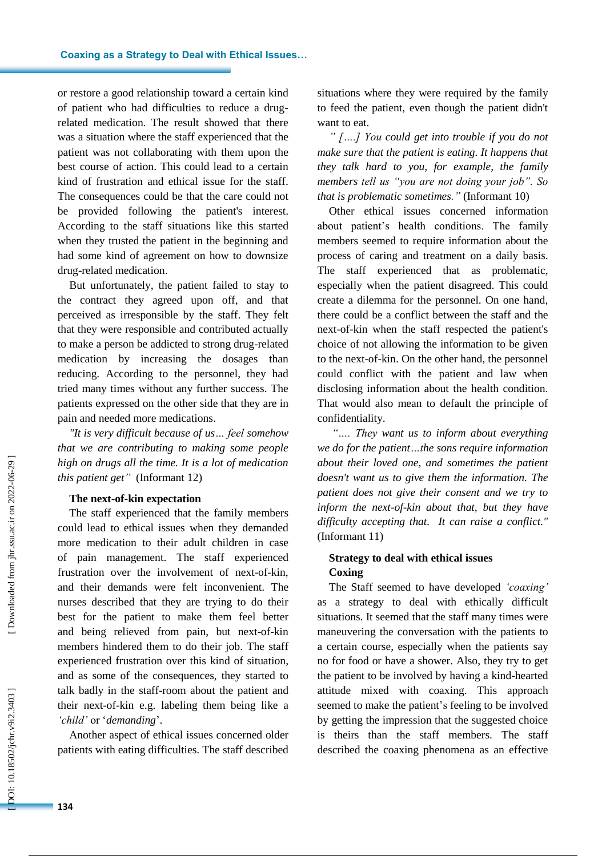or restore a good relationship toward a certain kind of patient who had difficulties to reduce a drug related medication. The result showed that there was a situation where the staff experienced that the patient was not collaborating with them upon the best course of action. This could lead to a certain kind of frustration and ethical issue for the staff. The consequences could be that the care could not be provided following the patient's interest. According to the staff situations like this started when they trusted the patient in the beginning and had some kind of agreement on how to downsize drug -related medication.

But unfortunately, the patient failed to stay to the contract they agreed upon off, and that perceived as irresponsible by the staff . They felt that they were responsible and contributed actually to make a person be addicted to strong drug-related medication by increasing the dosages than reducing. According to the personnel, they had tried many times without any further success. The patients expressed on the other side that they are in pain and needed more medications.

*"It is very difficult because of us… feel somehow that we are contributing to making some people high on drugs all the time. It is a lot of medication this patient get"* (Informant 12)

#### **The next -of-kin expectation**

The staff experienced that the family members could lead to ethical issues when they demanded more medication to their adult children in case of pain management. The staff experienced frustration over the involvement of next-of-kin, and their demands were felt inconvenient. The nurse s described that they are trying to do their best for the patient to make them feel better and being relieved from pain, but next -of-kin members hindered them to do their job. The staff experienced frustration over this kind of situation, and as some of the consequences, they started to talk badly in the staff-room about the patient and their next -of-kin e.g. labeling them being like a *"child"* or '*demanding* '.

Another aspect of ethical issues concerned older patients with eating difficulties. The staff described situations where they were required by the family to feed the patient, even though the patient didn't want to eat.

*" [….] You could get into trouble if you do not make sure that the patient is eating. It happens that they talk hard to you, for example, the family members tell us "you are not doing your job". So that is problematic sometimes."* (Informant 10)

Other ethical issues concerned information about patient's health conditions. The family members seemed to require information about the process of caring and treatment on a daily basis. The staff experience d that as problematic, especially when the patient disagreed. This could create a dilemma for the personnel. On one hand, there could be a conflict between the staff and the next -of-kin when the staff respected the patient's choice of not allowing the information to be given to the next -of -kin. On the other hand, the personnel could conflict with the patient and law when disclosing information about the health condition. That would also mean to default the principle of confidentiality.

*"…. They want us to inform about everything we do for the patient…the sons require information about their loved one, and sometimes the patient doesn't want us to give them the information. The patient does not give their consent and we try to inform the next -of-kin about that, but they have difficulty accepting that. It can raise a conflict."*  (Informant 11)

## **Strateg y to deal with ethical issues Coxing**

The Staff seemed to have developed *"coaxing"* as a strategy to deal with ethically difficult situations. It seemed that the staff many times were maneuvering the conversation with the patients to a certain course, especially when the patients say no for food or have a shower. Also, they try to get the patient to be involved by having a kind -hearted attitude mixed with coaxing. This approach seemed to make the patient's feeling to be involved by getting the impression that the suggested choice is theirs than the staff members. The staff described the coaxing phenomena as an effective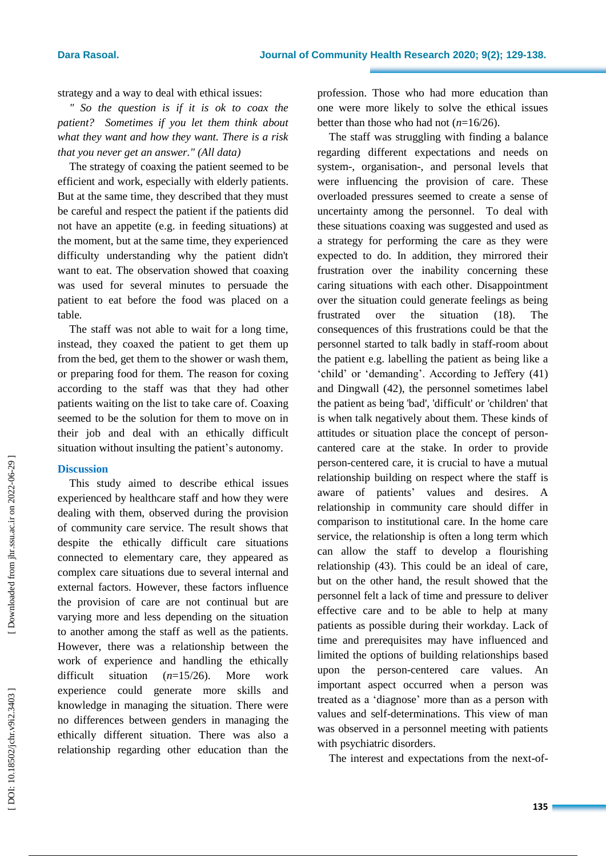strategy and a way to deal with ethical issues:

*" So the question is if it is ok to coax the patient? Sometimes if you let them think about what they want and how they want. There is a risk that you never get an answer." (All data)*

The strategy of coaxing the patient seemed to be efficient and work, especially with elderly patients. But at the same time, they described that they must be careful and respect the patient if the patients did not have an appetite (e.g. in feeding situations) at the moment, but at the same time, they experienced difficult y understanding why the patient didn't want to eat. The observation showed that coaxing was used for several minutes to persuade the patient to eat before the food was placed on a table*.* 

The staff was not able to wait for a long time, instead, they coaxed the patient to get them up from the bed, get them to the shower or wash them, or preparing food for them . The reason for coxing according to the staff was that they had other patients waiting on the list to take care of. Coaxing seemed to be the solution for them to move on in their job and deal with an ethically difficult situation without insulting the patient's autonomy.

#### **Discussion**

This study aimed to describe ethical issues experienced by healthcare staff and how they were dealing with them, observed during the provision of community care service . The result shows that despite the ethically difficult care situations connected to elementary care, they appeared as complex care situations due to several internal and external factors. However, these factors influence the provision of care are not continual but are varying more and less depending on the situation to another among the staff as well as the patients. However, there was a relationship between the work of experience and handling the ethically difficult situation *n*=15/26). More work experience could generate more skills and knowledge in managing the situation. There were no differences between genders in managing the ethically different situation. There was also a relationship regarding other education than the

profession. Those who had more education than one were more likely to solve the ethical issues better than those who had not ( *n*=16/26).

The staff was struggling with finding a balance regarding different expectations and needs on system - , organisation -, and personal level s that were influencing the provision of care. These overloaded pressures seemed to create a sense of uncertainty among the personnel. To deal with these situations coaxing was suggested and used as a strategy for performing the care as they were expected to do. In addition, they mirrored their frustration over the inability concerning these caring situations with each other . Disappointment over the situation could generate feelings as being frustrated over the situation (18). The consequences of this frustrations could be that the personnel started to talk badly in staff-room about the patient e.g. labelling the patient as being like a 'child' or 'demanding'. According to Jeffery (41) and Dingwall (42), the personnel sometimes label the patient as being 'bad', 'difficult' or 'children' that is when talk negatively about them. These kinds of attitudes or situation place the concept of person cantered care at the stake. In order to provide person -centered care, it is crucial to have a mutual relationship building on respect where the staff is aware of patients ' values and desires . A relationship in community care should differ in comparison to institutional care. In the home care service, the relationship is often a long term which can allow the staff to develop a flourishing relationship (43). This could be an ideal of care, but on the other hand, the result showed that the personnel felt a lack of time and pressure to deliver effective care and to be able to help at many patients as possible during their workday. Lack of time and prerequisites may have influenced and limited the options of building relationships base d upon the person -centered care values. An important aspect occurred when a person was treated as a 'diagnose ' more than as a person with values and self -determinations. This view of man was observed in a personnel meeting with patients with psychiatric disorders.

The interest and expectations from the next-of-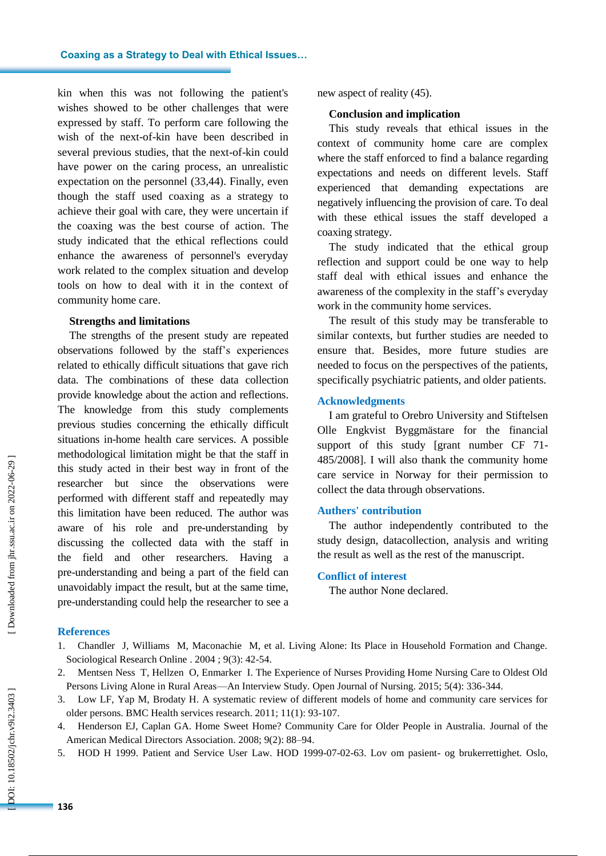kin when this was not following the patient's wishes showed to be other challenges that were expressed by staff . To perform care following the wish of the next -of -kin have been described in several previous studies, that the next-of-kin could have power on the caring process, an unrealistic expectation on the personnel (33,44) . Finally, even though the staff used coaxing as a strategy to achieve their goal with care, they were uncertain if the coaxing was the best course of action. The study indicated that the ethical reflections could enhance the awareness of personnel's everyday work related to the complex situation and develop tools on how to deal with it in the context of community home care .

#### **Strengths and limitations**

The strengths of the present study are repeated observations followed by the staff's experiences related to ethically difficult situations that gave rich data. The combinations of these data collection provide knowledge about the action and reflections . The knowledge from this study complements previous studies concerning the ethically difficult situations in -home health care services . A possible methodological limitation might be that the staff in this study acted in their best way in front of the researcher but since the observations were performed with different staff and repeatedly may this limitation have been reduced. The author was aware of his role and pre -understanding by discussing the collected data with the staff in the field and other researchers. Having a pre -understanding and being a part of the field can unavoidably impact the result, but at the same time, pre -understanding could help the researcher to see a new aspect of reality (45) .

#### **Conclusion and implication**

This study reveals that ethical issues in the context of community home care are complex where the staff enforced to find a balance regarding expectations and needs on different levels. Staff experienced that demanding expectations are negatively influencing the provision of care. To deal with these ethical issues the staff developed a coaxing strategy.

The study indicated that the ethical group reflection and support could be one way to help staff deal with ethical issues and enhance the awareness of the complexity in the staff's everyday work in the community home services.

The result of this study may be transferable to similar contexts, but further studies are needed to ensure that. Besides, more future studies are needed to focus on the perspectives of the patients, specifically psychiatric patients, and older patients.

#### **Acknowledgments**

I am grateful to Orebro University and Stiftelsen Olle Engkvist Byggmästare for the financial support of this study [grant number CF 71 - 485/2008]. I will also thank the community home care service in Norway for their permission to collect the data through observations.

#### **Authers' contribution**

The author independently contributed to the study design, datacollection, analysis and writing the result as well as the rest of the manuscript.

#### **Conflict of interest**

The author None declared .

#### **References**

- 1. Chandler J, Williams M, Maconachie M, et al. Living Alone: Its Place in Household Formation and Change. Sociological Research Online . 2004 ; 9(3): 42 -54.
- 2. Mentsen Ness T, Hellzen O, Enmarker I. The Experience of Nurses Providing Home Nursing Care to Oldest Old Persons Living Alone in Rural Areas—An Interview Study. Open Journal of Nursing. 2015; 5(4): 336-344.
- 3. Low LF, Yap M, Brodaty H. A systematic review of different models of home and community care services for older persons. BMC Health services research. 2011; 11(1): 93 -107.
- 4. Henderson EJ, Caplan GA. Home Sweet Home? Community Care for Older People in Australia. Journal of the American Medical Directors Association. 2008; 9(2): 88 –94.
- 5. HOD H 1999. Patient and Service User Law. HOD 1999 -07 -02 -63. Lov om pasient og brukerrettighet. Oslo,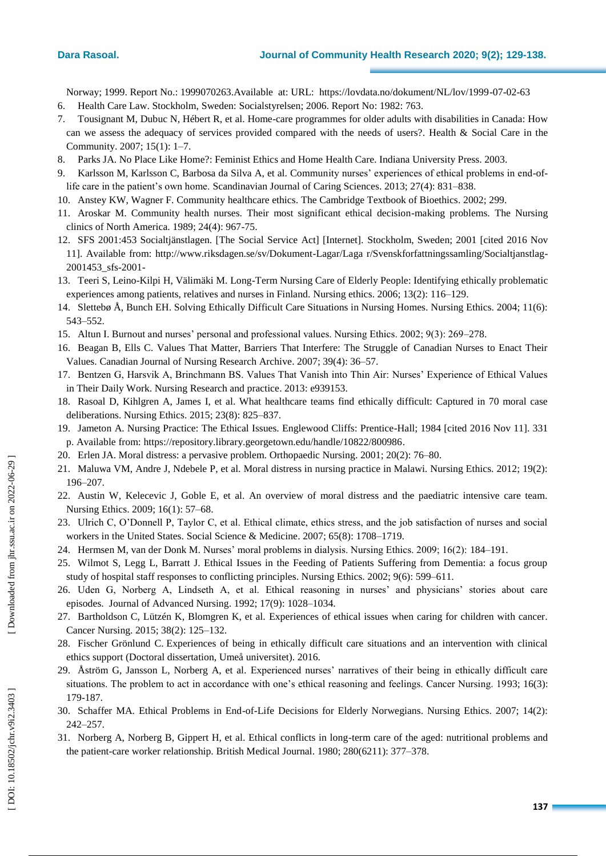#### **Dara Rasoal**

Norway; 1999. Report No.: 1999070263.Available at: URL: https://lovdata.no/dokument/NL/lov/1999-07-02-63

- 6. Health Care Law. Stockholm, Sweden: Socialstyrelsen; 2006. Report No: 1982: 763.
- 7. Tousignant M, Dubuc N, Hébert R, et al. Home -care programmes for older adults with disabilities in Canada: How can we assess the adequacy of services provided compared with the needs of users?. Health & Social Care in the Community. 2007; 15(1): 1 –7.
- 8. Parks JA. No Place Like Home?: Feminist Ethics and Home Health Care. Indiana University Press. 2003.
- 9. Karlsson M, Karlsson C, Barbosa da Silva A, et al. Community nurses' experiences of ethical problems in end -oflife care in the patient's own home. Scandinavian Journal of Caring Sciences. 2013; 27(4): 831–838.
- 10. Anstey KW, Wagner F. Community healthcare ethics. The Cambridge Textbook of Bioethics. 2002; 299.
- 11. Aroskar M. Community health nurses. Their most significant ethical decision -making problems. The Nursing clinics of North America. 1989; 24(4): 967 -75.
- 12. SFS 2001:453 Socialtjänstlagen. [The Social Service Act] [Internet]. Stockholm, Sweden; 2001 [cited 2016 Nov 11]. Available from: http://www.riksdagen.se/sv/Dokument -Lagar/Laga r/Svenskforfattningssamling/Socialtjanstlag - 2001453\_sfs -2001 -
- 13. Teeri S, Leino-Kilpi H, Välimäki M. Long-Term Nursing Care of Elderly People: Identifying ethically problematic experiences among patients, relatives and nurses in Finland. Nursing ethics. 2006; 13(2): 116 –129.
- 14. Slettebø Å, Bunch EH. Solving Ethically Difficult Care Situations in Nursing Homes. Nursing Ethics. 2004; 11(6): 543 –552.
- 15. Altun I. Burnout and nurses' personal and professional values. Nursing Ethics. 2002; 9(3): 269 –278.
- 16. Beagan B, Ells C. Values That Matter, Barriers That Interfere: The Struggle of Canadian Nurses to Enact Their Values. Canadian Journal of Nursing Research Archive. 2007; 39(4): 36 –57.
- 17. Bentzen G, Harsvik A, Brinchmann BS. Values That Vanish into Thin Air: Nurses' Experience of Ethical Values in Their Daily Work. Nursing Research and practice. 2013: e939153.
- 18. Rasoal D, Kihlgren A, James I, et al. What healthcare teams find ethically difficult: Captured in 70 moral case deliberations. Nursing Ethics. 2015; 23(8): 825 –837.
- 19. Jameton A. Nursing Practice: The Ethical Issues. Englewood Cliffs: Prentice -Hall; 1984 [cited 2016 Nov 11]. 331 p. Available from: https://repository.library.georgetown.edu/handle/10822/800986 .
- 20. Erlen JA. Moral distress: a pervasive problem. Orthopaedic Nursing. 2001; 20(2): 76 –80.
- 21. Maluwa VM, Andre J, Ndebele P, et al. Moral distress in nursing practice in Malawi. Nursing Ethics. 2012; 19(2): 196 –207.
- 22. Austin W, Kelecevic J, Goble E, et al. An overview of moral distress and the paediatric intensive care team. Nursing Ethics. 2009; 16(1): 57 –68.
- 23. Ulrich C, O'Donnell P, Taylor C, et al. Ethical climate, ethics stress, and the job satisfaction of nurses and social workers in the United States. Social Science & Medicine. 2007; 65(8): 1708 –1719.
- 24. Hermsen M, van der Donk M. Nurses' moral problems in dialysis. Nursing Ethics. 2009; 16(2): 184 –191.
- 25. Wilmot S, Legg L, Barratt J. Ethical Issues in the Feeding of Patients Suffering from Dementia: a focus group study of hospital staff responses to conflicting principles. Nursing Ethics. 2002; 9(6): 599 –611.
- 26. Uden G, Norberg A, Lindseth A, et al. Ethical reasoning in nurses' and physicians' stories about care episodes. Journal of Advanced Nursing. 1992; 17(9): 1028 –1034.
- 27. Bartholdson C, Lützén K, Blomgren K, et al. Experiences of ethical issues when caring for children with cancer. Cancer Nursing. 2015; 38(2): 125 –132.
- 28. Fischer Grönlund C. Experiences of being in ethically difficult care situations and an intervention with clinical ethics support (Doctoral dissertation, Umeå universitet). 2016.
- 29. Åström G, Jansson L, Norberg A, et al. Experienced nurses' narratives of their being in ethically difficult care situations. The problem to act in accordance with one's ethical reasoning and feelings. Cancer Nursing. 1993; 16(3): 179 -187.
- 30. Schaffer MA. Ethical Problems in End -of-Life Decisions for Elderly Norwegians. Nursing Ethics. 2007; 14(2): 242 –257.
- 31. Norberg A, Norberg B, Gippert H, et al. Ethical conflicts in long -term care of the aged: nutritional problems and the patient -care worker relationship. British Medical Journal. 1980; 280(6211): 377 –378.

DOI: 10.18502/jchr.v9i2.3403